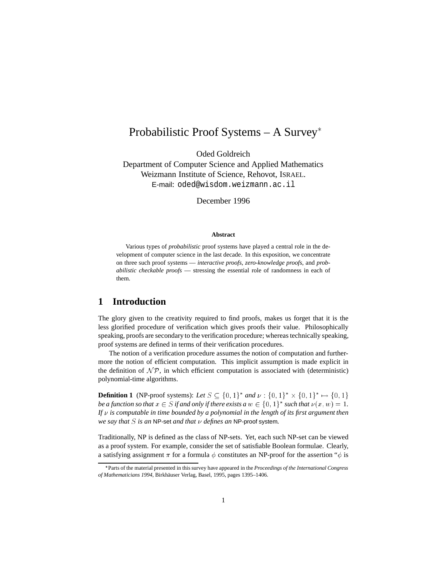# Probabilistic Proof Systems – A Survey

Oded Goldreich

Department of Computer Science and Applied Mathematics Weizmann Institute of Science, Rehovot, ISRAEL. E-mail: oded@wisdom.weizmann.ac.il

December 1996

#### **Abstract**

Various types of *probabilistic* proof systems have played a central role in the development of computer science in the last decade. In this exposition, we concentrate on three such proof systems — *interactive proofs*, *zero-knowledge proofs*, and *probabilistic checkable proofs* — stressing the essential role of randomness in each of them.

# **1 Introduction**

The glory given to the creativity required to find proofs, makes us forget that it is the less glorified procedure of verification which gives proofs their value. Philosophically speaking, proofs are secondary to the verification procedure; whereas technically speaking, proof systems are defined in terms of their verification procedures.

The notion of a verification procedure assumes the notion of computation and furthermore the notion of efficient computation. This implicit assumption is made explicit in the definition of  $\mathcal{NP}$ , in which efficient computation is associated with (deterministic) polynomial-time algorithms.

**Definition 1** (NP-proof systems): Let  $S \subseteq \{0, 1\}^*$  and  $\nu : \{0, 1\}^* \times \{0, 1\}^* \mapsto \{0, 1\}$ *be a function so that*  $x \in S$  *if and only if there exists a*  $w \in \{0,1\}^*$  *such that*  $\nu(x,w) = 1$ *. If is computable in time bounded by a polynomial in the length of its first argument then we say that*  $S$  *is an* NP-set *and that*  $\nu$  *defines an* NP-proof system.

Traditionally, NP is defined as the class of NP-sets. Yet, each such NP-set can be viewed as a proof system. For example, consider the set of satisfiable Boolean formulae. Clearly, a satisfying assignment  $\pi$  for a formula  $\phi$  constitutes an NP-proof for the assertion " $\phi$  is

Parts of the material presented in this survey have appeared in the *Proceedings of the International Congress of Mathematicians 1994*, Birkh¨auser Verlag, Basel, 1995, pages 1395–1406.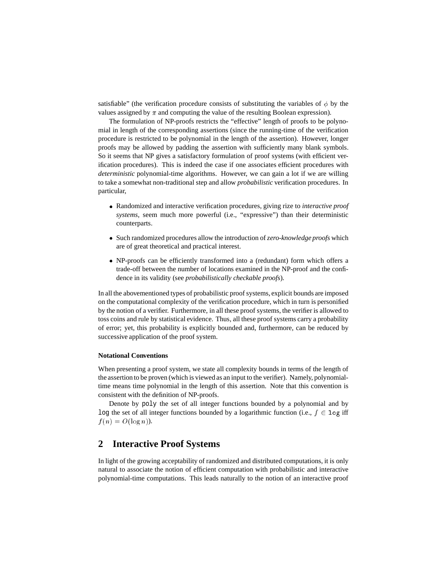satisfiable" (the verification procedure consists of substituting the variables of  $\phi$  by the values assigned by  $\pi$  and computing the value of the resulting Boolean expression).

The formulation of NP-proofs restricts the "effective" length of proofs to be polynomial in length of the corresponding assertions (since the running-time of the verification procedure is restricted to be polynomial in the length of the assertion). However, longer proofs may be allowed by padding the assertion with sufficiently many blank symbols. So it seems that NP gives a satisfactory formulation of proof systems (with efficient verification procedures). This is indeed the case if one associates efficient procedures with *deterministic* polynomial-time algorithms. However, we can gain a lot if we are willing to take a somewhat non-traditional step and allow *probabilistic* verification procedures. In particular,

- Randomized and interactive verification procedures, giving rize to *interactive proof systems*, seem much more powerful (i.e., "expressive") than their deterministic counterparts.
- Such randomized procedures allow the introduction of*zero-knowledge proofs* which are of great theoretical and practical interest.
- NP-proofs can be efficiently transformed into a (redundant) form which offers a trade-off between the number of locations examined in the NP-proof and the confidence in its validity (see *probabilistically checkable proofs*).

In all the abovementioned types of probabilistic proof systems, explicit bounds are imposed on the computational complexity of the verification procedure, which in turn is personified by the notion of a verifier. Furthermore, in all these proof systems, the verifier is allowed to toss coins and rule by statistical evidence. Thus, all these proof systems carry a probability of error; yet, this probability is explicitly bounded and, furthermore, can be reduced by successive application of the proof system.

#### **Notational Conventions**

When presenting a proof system, we state all complexity bounds in terms of the length of the assertion to be proven (which is viewed as an input to the verifier). Namely, polynomialtime means time polynomial in the length of this assertion. Note that this convention is consistent with the definition of NP-proofs.

Denote by poly the set of all integer functions bounded by a polynomial and by log the set of all integer functions bounded by a logarithmic function (i.e.,  $f \in \text{log iff}$  $f(n) = O(\log n)$ ).

# **2 Interactive Proof Systems**

In light of the growing acceptability of randomized and distributed computations, it is only natural to associate the notion of efficient computation with probabilistic and interactive polynomial-time computations. This leads naturally to the notion of an interactive proof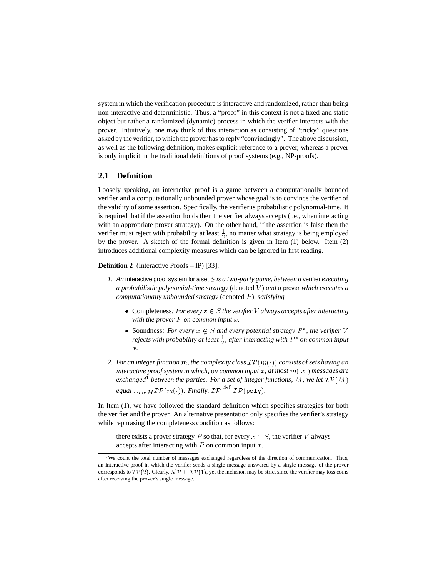system in which the verification procedure is interactive and randomized, rather than being non-interactive and deterministic. Thus, a "proof" in this context is not a fixed and static object but rather a randomized (dynamic) process in which the verifier interacts with the prover. Intuitively, one may think of this interaction as consisting of "tricky" questions asked by the verifier, to which the prover has to reply "convincingly". The above discussion, as well as the following definition, makes explicit reference to a prover, whereas a prover is only implicit in the traditional definitions of proof systems (e.g., NP-proofs).

# **2.1 Definition**

Loosely speaking, an interactive proof is a game between a computationally bounded verifier and a computationally unbounded prover whose goal is to convince the verifier of the validity of some assertion. Specifically, the verifier is probabilistic polynomial-time. It is required that if the assertion holds then the verifier always accepts (i.e., when interacting with an appropriate prover strategy). On the other hand, if the assertion is false then the verifier must reject with probability at least  $\frac{1}{6}$ , no matter what strategy is being employed <sup>2</sup> by the prover. A sketch of the formal definition is given in Item (1) below. Item (2) introduces additional complexity measures which can be ignored in first reading.

#### **Definition 2** (Interactive Proofs – IP) [33]:

- *1. An* interactive proof system for a set S *is a two-party game, between a* verifier *executing a probabilistic polynomial-time strategy* (denoted V ) *and a* prover *which executes a computationally unbounded strategy* (denoted <sup>P</sup> )*, satisfying*
	- Completeness: For every  $x \in S$  *the verifier* V *always accepts after interacting with the prover* <sup>P</sup> *on common input* <sup>x</sup>*.*
	- Soundness: For every  $x \notin S$  and every potential strategy  $P^*$ , the verifier V *rejects with probability at least*  $\frac{1}{2}$ *, after interacting with*  $P^*$  *on common input* x*.*
- 2. For an integer function m, the complexity class  $\mathcal{IP}(m(\cdot))$  consists of sets having an *interactive proof system in which, on common input* x, at most  $m(|x|)$  messages are *exchanged*<sup>1</sup> *between the parties. For a set of integer functions,* <sup>M</sup>*, we let* IP(M) *equal*  $\bigcup_{m \in M} \mathcal{IP}(m(\cdot))$ *. Finally,*  $\mathcal{IP} \equiv \mathcal{IP}(\text{poly})$ *.*

In Item (1), we have followed the standard definition which specifies strategies for both the verifier and the prover. An alternative presentation only specifies the verifier's strategy while rephrasing the completeness condition as follows:

there exists a prover strategy P so that, for every  $x \in S$ , the verifier V always accepts after interacting with  $P$  on common input  $x$ .

<sup>1</sup>We count the total number of messages exchanged regardless of the direction of communication. Thus, an interactive proof in which the verifier sends a single message answered by a single message of the prover corresponds to  $\mathcal{IP}(2)$ . Clearly,  $\mathcal{NP} \subseteq \mathcal{IP}(1)$ , yet the inclusion may be strict since the verifier may toss coins after receiving the prover's single message.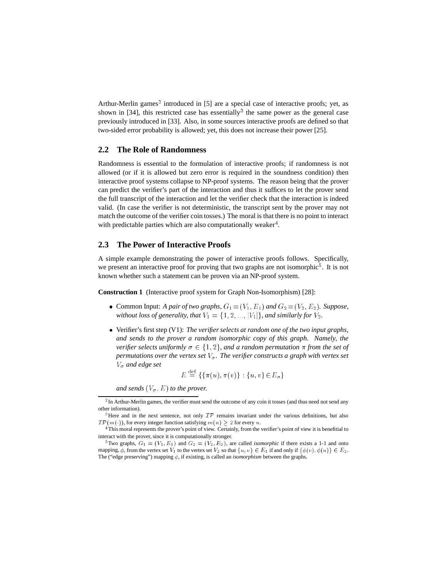Arthur-Merlin games<sup>2</sup> introduced in  $[5]$  are a special case of interactive proofs; yet, as shown in [34], this restricted case has essentially<sup>3</sup> the same power as the general case previously introduced in [33]. Also, in some sources interactive proofs are defined so that two-sided error probability is allowed; yet, this does not increase their power [25].

# **2.2 The Role of Randomness**

Randomness is essential to the formulation of interactive proofs; if randomness is not allowed (or if it is allowed but zero error is required in the soundness condition) then interactive proof systems collapse to NP-proof systems. The reason being that the prover can predict the verifier's part of the interaction and thus it suffices to let the prover send the full transcript of the interaction and let the verifier check that the interaction is indeed valid. (In case the verifier is not deterministic, the transcript sent by the prover may not match the outcome of the verifier coin tosses.) The moral is that there is no point to interact with predictable parties which are also computationally weaker<sup>4</sup>.

### **2.3 The Power of Interactive Proofs**

A simple example demonstrating the power of interactive proofs follows. Specifically, we present an interactive proof for proving that two graphs are not isomorphic<sup>5</sup>. It is not known whether such a statement can be proven via an NP-proof system.

**Construction 1** (Interactive proof system for Graph Non-Isomorphism) [28]:

- Common Input: *A pair of two graphs,*  $G_1 = (V_1, E_1)$  *and*  $G_2 = (V_2, E_2)$ *. Suppose, without loss of generality, that*  $V_1 = \{1, 2, ..., |V_1|\}$ *, and similarly for*  $V_2$ *.*
- Verifier's first step (V1): *The verifier selects at random one of the two input graphs, and sends to the prover a random isomorphic copy of this graph. Namely, the verifier selects uniformly*  $\sigma \in \{1, 2\}$ , and a random permutation  $\pi$  from the set of *permutations over the vertex set*  $V_{\sigma}$ . The verifier constructs a graph with vertex set  $V_{\sigma}$  and edge set

$$
E \stackrel{\text{def}}{=} \left\{ \left\{ \pi(u), \pi(v) \right\} : \left\{ u, v \right\} \in E_{\sigma} \right\}
$$

*and sends*  $(V_{\sigma}, E)$  *to the prover.* 

<sup>&</sup>lt;sup>2</sup>In Arthur-Merlin games, the verifier must send the outcome of any coin it tosses (and thus need not send any other information).

<sup>&</sup>lt;sup>3</sup>Here and in the next sentence, not only  $\mathcal{IP}$  remains invariant under the various definitions, but also  $\mathcal{IP}(m(\cdot))$ , for every integer function satisfying  $m(n) \geq 2$  for every n.

<sup>4</sup> This moral represents the prover's point of view. Certainly, from the verifier's point of view it is benefitial to interact with the prover, since it is computationally stronger.

<sup>&</sup>lt;sup>5</sup> Two graphs,  $G_1 = (V_1, E_1)$  and  $G_2 = (V_2, E_2)$ , are called *isomorphic* if there exists a 1-1 and onto mapping,  $\phi$ , from the vertex set  $V_1$  to the vertex set  $V_2$  so that  $\{u, v\} \in E_1$  if and only if  $\{\phi(v), \phi(u)\} \in E_2$ . The ("edge preserving") mapping  $\phi$ , if existing, is called an *isomorphism* between the graphs.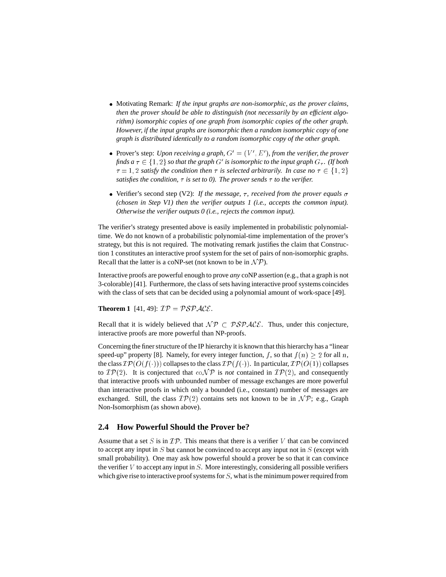- Motivating Remark: *If the input graphs are non-isomorphic, as the prover claims, then the prover should be able to distinguish (not necessarily by an efficient algorithm) isomorphic copies of one graph from isomorphic copies of the other graph. However, if the input graphs are isomorphic then a random isomorphic copy of one graph is distributed identically to a random isomorphic copy of the other graph.*
- Prover's step: *Upon receiving a graph*,  $G' = (V', E')$ , from the verifier, the prover finds a  $\tau \in \{1,2\}$  so that the graph  $G'$  is isomorphic to the input graph  $G_\tau.$  (If both  $\tau = 1$ , 2 *satisfy the condition then*  $\tau$  *is selected arbitrarily. In case no*  $\tau \in \{1, 2\}$ *satisfies the condition,*  $\tau$  *is set to 0). The prover sends*  $\tau$  *to the verifier.*
- Verifier's second step (V2): *If the message,*  $\tau$ , received from the prover equals  $\sigma$ *(chosen in Step V1) then the verifier outputs 1 (i.e., accepts the common input). Otherwise the verifier outputs 0 (i.e., rejects the common input).*

The verifier's strategy presented above is easily implemented in probabilistic polynomialtime. We do not known of a probabilistic polynomial-time implementation of the prover's strategy, but this is not required. The motivating remark justifies the claim that Construction 1 constitutes an interactive proof system for the set of pairs of non-isomorphic graphs. Recall that the latter is a coNP-set (not known to be in  $N \mathcal{P}$ ).

Interactive proofs are powerful enough to prove *any* coNP assertion (e.g., that a graph is not 3-colorable) [41]. Furthermore, the class of sets having interactive proof systems coincides with the class of sets that can be decided using a polynomial amount of work-space [49].

**Theorem 1** [41, 49]:  $\mathcal{IP} = \mathcal{PSPACE}$ *.* 

Recall that it is widely believed that  $\mathcal{NP} \subset \mathcal{PSPACE}$ . Thus, under this conjecture, interactive proofs are more powerful than NP-proofs.

Concerning the finer structure of the IP hierarchy it is known that this hierarchy has a "linear speed-up" property [8]. Namely, for every integer function, f, so that  $f(n) > 2$  for all n, the class  $\mathcal{IP}(O(f(\cdot)))$  collapses to the class  $\mathcal{IP}(f(\cdot))$ . In particular,  $\mathcal{IP}(O(1))$  collapses to  $\mathcal{IP}(2)$ . It is conjectured that  $\text{coNP}$  is *not* contained in  $\mathcal{IP}(2)$ , and consequently that interactive proofs with unbounded number of message exchanges are more powerful than interactive proofs in which only a bounded (i.e., constant) number of messages are exchanged. Still, the class  $\mathcal{IP}(2)$  contains sets not known to be in  $\mathcal{NP}$ ; e.g., Graph Non-Isomorphism (as shown above).

# **2.4 How Powerful Should the Prover be?**

Assume that a set S is in  $\mathcal{IP}$ . This means that there is a verifier V that can be convinced to accept any input in  $S$  but cannot be convinced to accept any input not in  $S$  (except with small probability). One may ask how powerful should a prover be so that it can convince the verifier V to accept any input in  $S$ . More interestingly, considering all possible verifiers which give rise to interactive proof systems for  $S$ , what is the minimum power required from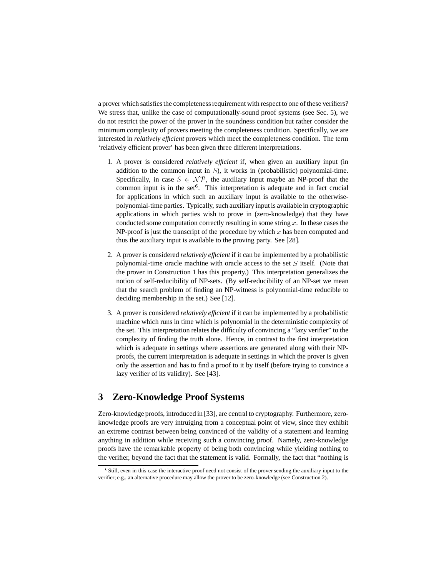a prover which satisfies the completeness requirement with respect to one of these verifiers? We stress that, unlike the case of computationally-sound proof systems (see Sec. 5), we do not restrict the power of the prover in the soundness condition but rather consider the minimum complexity of provers meeting the completeness condition. Specifically, we are interested in *relatively efficient* provers which meet the completeness condition. The term 'relatively efficient prover' has been given three different interpretations.

- 1. A prover is considered *relatively efficient* if, when given an auxiliary input (in addition to the common input in  $S$ ), it works in (probabilistic) polynomial-time. Specifically, in case  $S \in \mathcal{NP}$ , the auxiliary input maybe an NP-proof that the common input is in the set $6$ . This interpretation is adequate and in fact crucial for applications in which such an auxiliary input is available to the otherwisepolynomial-time parties. Typically, such auxiliary input is available in cryptographic applications in which parties wish to prove in (zero-knowledge) that they have conducted some computation correctly resulting in some string  $x$ . In these cases the NP-proof is just the transcript of the procedure by which  $x$  has been computed and thus the auxiliary input is available to the proving party. See [28].
- 2. A prover is considered *relatively efficient* if it can be implemented by a probabilistic polynomial-time oracle machine with oracle access to the set  $S$  itself. (Note that the prover in Construction 1 has this property.) This interpretation generalizes the notion of self-reducibility of NP-sets. (By self-reducibility of an NP-set we mean that the search problem of finding an NP-witness is polynomial-time reducible to deciding membership in the set.) See [12].
- 3. A prover is considered *relatively efficient* if it can be implemented by a probabilistic machine which runs in time which is polynomial in the deterministic complexity of the set. This interpretation relates the difficulty of convincing a "lazy verifier" to the complexity of finding the truth alone. Hence, in contrast to the first interpretation which is adequate in settings where assertions are generated along with their NPproofs, the current interpretation is adequate in settings in which the prover is given only the assertion and has to find a proof to it by itself (before trying to convince a lazy verifier of its validity). See [43].

# **3 Zero-Knowledge Proof Systems**

Zero-knowledge proofs, introduced in [33], are central to cryptography. Furthermore, zeroknowledge proofs are very intruiging from a conceptual point of view, since they exhibit an extreme contrast between being convinced of the validity of a statement and learning anything in addition while receiving such a convincing proof. Namely, zero-knowledge proofs have the remarkable property of being both convincing while yielding nothing to the verifier, beyond the fact that the statement is valid. Formally, the fact that "nothing is

<sup>&</sup>lt;sup>6</sup>Still, even in this case the interactive proof need not consist of the prover sending the auxiliary input to the verifier; e.g., an alternative procedure may allow the prover to be zero-knowledge (see Construction 2).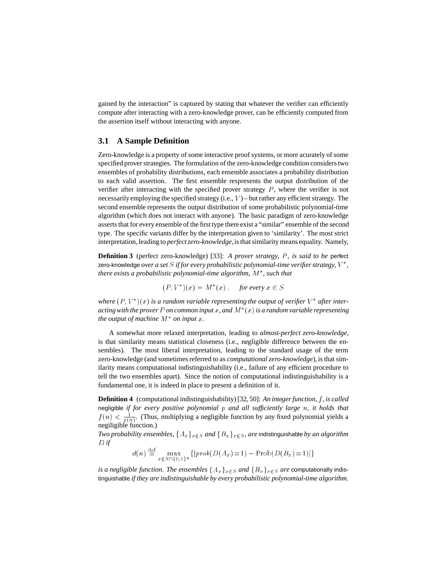gained by the interaction" is captured by stating that whatever the verifier can efficiently compute after interacting with a zero-knowledge prover, can be efficiently computed from the assertion itself without interacting with anyone.

# **3.1 A Sample Definition**

Zero-knowledge is a property of some interactive proof systems, or more acurately of some specified prover strategies. The formulation of the zero-knowledge condition considers two ensembles of probability distributions, each ensemble associates a probability distribution to each valid assertion. The first ensemble respresents the output distribution of the verifier after interacting with the specified prover strategy  $P$ , where the verifier is not necessarily employing the specified strategy  $(i.e., V)$  – but rather any efficient strategy. The second ensemble represents the output distribution of some probabilistic polynomial-time algorithm (which does not interact with anyone). The basic paradigm of zero-knowledge asserts that for every ensemble of the first type there exist a "similar" ensemble of the second type. The specific variants differ by the interpretation given to 'similarity'. The most strict interpretation, leading to *perfect zero-knowledge*, is that similarity means equality. Namely,

**Definition 3** (perfect zero-knowledge) [33]: *A prover strategy, P, is said to be* perfect zero-knowledge *over a set* S *if for every probabilistic polynomial-time verifier strategy,* V *, there exists a probabilistic polynomial-time algorithm,* M *, such that*

$$
(P, V^*)(x) = M^*(x) , \quad \text{for every } x \in S
$$

where  $(P, V^*)(x)$  is a random variable representing the output of verifier  $V^*$  after inter*acting with the prover* <sup>P</sup> *on common input* <sup>x</sup>*, and* M (x) *is a random variable representing the output of machine*  $M^*$  *on input*  $x$ *.* 

A somewhat more relaxed interpretation, leading to *almost-perfect zero-knowledge*, is that similarity means statistical closeness (i.e., negligible difference between the ensembles). The most liberal interpretation, leading to the standard usage of the term zero-knowledge (and sometimes referred to as *computational zero-knowledge*), is that similarity means computational indistinguishability (i.e., failure of any efficient procedure to tell the two ensembles apart). Since the notion of computational indistinguishability is a fundamental one, it is indeed in place to present a definition of it.

**Definition 4** (computational indistinguishability) [32, 50]: *An integer function, f, is called* negligible *if for every positive polynomial* <sup>p</sup> *and all sufficiently large* <sup>n</sup>*, it holds that*  $f(n) < \frac{1}{p(n)}$ . (Thus, multiplying a negligible function by any fixed polynomial yields a negiligible function.)

*Two probability ensembles,*  $\{A_x\}_{x \in S}$  *and*  $\{B_x\}_{x \in S}$ *, are* indistinguishable *by an algorithm* <sup>D</sup> *if*

$$
d(n) \stackrel{\text{def}}{=} \max_{x \in S \cap \{0,1\}^n} \{|prob(D(A_x)=1) - Prob(D(B_x)=1)|\}
$$

*is a negligible function. The ensembles*  $\{A_x\}_{x \in S}$  *and*  $\{B_x\}_{x \in S}$  *are* computationally indistinguishable *if they are indistinguishable by every probabilistic polynomial-time algorithm.*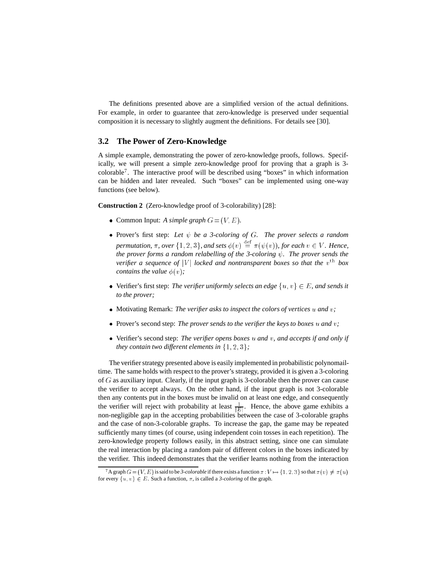The definitions presented above are a simplified version of the actual definitions. For example, in order to guarantee that zero-knowledge is preserved under sequential composition it is necessary to slightly augment the definitions. For details see [30].

# **3.2 The Power of Zero-Knowledge**

A simple example, demonstrating the power of zero-knowledge proofs, follows. Specifically, we will present a simple zero-knowledge proof for proving that a graph is 3 colorable<sup>7</sup> . The interactive proof will be described using "boxes" in which information can be hidden and later revealed. Such "boxes" can be implemented using one-way functions (see below).

**Construction 2** (Zero-knowledge proof of 3-colorability) [28]:

- Common Input: *A simple graph*  $G = (V, E)$ *.*
- Prover's first step: Let  $\psi$  be a 3-coloring of G. The prover selects a random *permutation,*  $\pi$ *, over*  $\{1,2,3\}$ *, and sets*  $\phi(v) \stackrel{\text{def}}{=} \pi(\psi(v))$ *, for each*  $v \in V$ *. Hence, the prover forms a random relabelling of the 3-coloring*  $\psi$ . The prover sends the *verifier a sequence of*  $|V|$  *locked and nontransparent boxes so that the*  $v^{\text{th}}$  *box contains the value*  $\phi(v)$ *;*
- Verifier's first step: *The verifier uniformly selects an edge*  $\{u, v\} \in E$ , and sends it *to the prover;*
- Motivating Remark: *The verifier asks to inspect the colors of vertices* <sup>u</sup> *and* <sup>v</sup>*;*
- Prover's second step: *The prover sends to the verifier the keys to boxes* <sup>u</sup> *and* <sup>v</sup>*;*
- Verifier's second step: *The verifier opens boxes* <sup>u</sup> *and* <sup>v</sup>*, and accepts if and only if they contain two different elements in*  $\{1, 2, 3\}$ *;*

The verifier strategy presented above is easily implemented in probabilistic polynomailtime. The same holds with respect to the prover's strategy, provided it is given a 3-coloring of  $G$  as auxiliary input. Clearly, if the input graph is 3-colorable then the prover can cause the verifier to accept always. On the other hand, if the input graph is not 3-colorable then any contents put in the boxes must be invalid on at least one edge, and consequently the verifier will reject with probability at least  $\frac{1}{|E|}$ . Hence, the above game exhibits a jEj non-negligible gap in the accepting probabilities between the case of 3-colorable graphs and the case of non-3-colorable graphs. To increase the gap, the game may be repeated sufficiently many times (of course, using independent coin tosses in each repetition). The zero-knowledge property follows easily, in this abstract setting, since one can simulate the real interaction by placing a random pair of different colors in the boxes indicated by the verifier. This indeed demonstrates that the verifier learns nothing from the interaction

 $T$  A graph  $G=(V, E)$  is said to be *3-colorable* if there exists a function  $\pi: V \mapsto \{1, 2, 3\}$  so that  $\pi(v) \neq \pi(u)$ for every  $\{u, v\} \in E$ . Such a function,  $\pi$ , is called a *3-coloring* of the graph.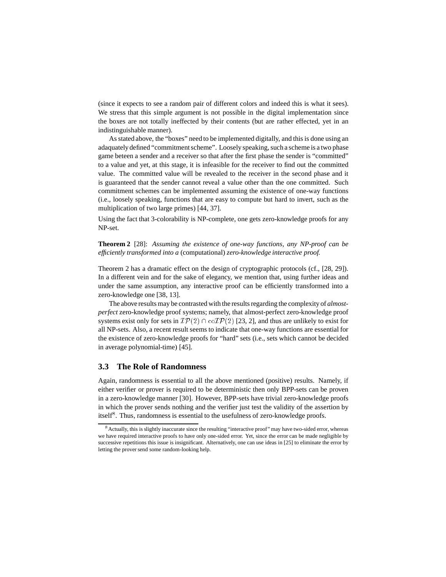(since it expects to see a random pair of different colors and indeed this is what it sees). We stress that this simple argument is not possible in the digital implementation since the boxes are not totally ineffected by their contents (but are rather effected, yet in an indistinguishable manner).

As stated above, the "boxes" need to be implemented digitally, and this is done using an adaquately defined "commitment scheme". Loosely speaking, such a scheme is a two phase game beteen a sender and a receiver so that after the first phase the sender is "committed" to a value and yet, at this stage, it is infeasible for the receiver to find out the committed value. The committed value will be revealed to the receiver in the second phase and it is guaranteed that the sender cannot reveal a value other than the one committed. Such commitment schemes can be implemented assuming the existence of one-way functions (i.e., loosely speaking, functions that are easy to compute but hard to invert, such as the multiplication of two large primes) [44, 37].

Using the fact that 3-colorability is NP-complete, one gets zero-knowledge proofs for any NP-set.

**Theorem 2** [28]: *Assuming the existence of one-way functions, any NP-proof can be efficiently transformed into a* (computational) *zero-knowledge interactive proof.*

Theorem 2 has a dramatic effect on the design of cryptographic protocols (cf., [28, 29]). In a different vein and for the sake of elegancy, we mention that, using further ideas and under the same assumption, any interactive proof can be efficiently transformed into a zero-knowledge one [38, 13].

The above results may be contrasted with the results regarding the complexity of *almostperfect* zero-knowledge proof systems; namely, that almost-perfect zero-knowledge proof systems exist only for sets in  $\mathcal{IP}(2) \cap \text{co}\mathcal{IP}(2)$  [23, 2], and thus are unlikely to exist for all NP-sets. Also, a recent result seems to indicate that one-way functions are essential for the existence of zero-knowledge proofs for "hard" sets (i.e., sets which cannot be decided in average polynomial-time) [45].

### **3.3 The Role of Randomness**

Again, randomness is essential to all the above mentioned (positive) results. Namely, if either verifier or prover is required to be deterministic then only BPP-sets can be proven in a zero-knowledge manner [30]. However, BPP-sets have trivial zero-knowledge proofs in which the prover sends nothing and the verifier just test the validity of the assertion by itself<sup>8</sup>. Thus, randomness is essential to the usefulness of zero-knowledge proofs.

<sup>&</sup>lt;sup>8</sup> Actually, this is slightly inaccurate since the resulting "interactive proof" may have two-sided error, whereas we have required interactive proofs to have only one-sided error. Yet, since the error can be made negligible by successive repetitions this issue is insignificant. Alternatively, one can use ideas in [25] to eliminate the error by letting the prover send some random-looking help.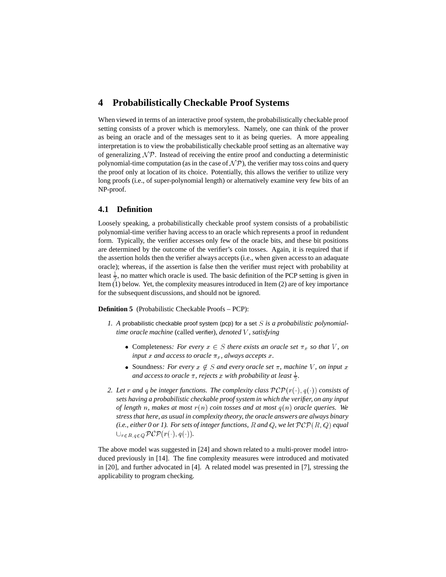# **4 Probabilistically Checkable Proof Systems**

When viewed in terms of an interactive proof system, the probabilistically checkable proof setting consists of a prover which is memoryless. Namely, one can think of the prover as being an oracle and of the messages sent to it as being queries. A more appealing interpretation is to view the probabilistically checkable proof setting as an alternative way of generalizing  $\mathcal{NP}$ . Instead of receiving the entire proof and conducting a deterministic polynomial-time computation (as in the case of  $\mathcal{NP}$ ), the verifier may toss coins and query the proof only at location of its choice. Potentially, this allows the verifier to utilize very long proofs (i.e., of super-polynomial length) or alternatively examine very few bits of an NP-proof.

### **4.1 Definition**

Loosely speaking, a probabilistically checkable proof system consists of a probabilistic polynomial-time verifier having access to an oracle which represents a proof in redundent form. Typically, the verifier accesses only few of the oracle bits, and these bit positions are determined by the outcome of the verifier's coin tosses. Again, it is required that if the assertion holds then the verifier always accepts (i.e., when given access to an adaquate oracle); whereas, if the assertion is false then the verifier must reject with probability at least  $\frac{1}{2}$ , no matter which oracle is used. The basic definition of the PCP setting is given in Item (1) below. Yet, the complexity measures introduced in Item (2) are of key importance for the subsequent discussions, and should not be ignored.

**Definition 5** (Probabilistic Checkable Proofs – PCP):

- *1. A* probabilistic checkable proof system (pcp) for a set S *is a probabilistic polynomialtime oracle machine* (called verifier)*, denoted* V *, satisfying*
	- Completeness: For every  $x \in S$  *there exists an oracle set*  $\pi_x$  *so that* V, *on input* x and access to oracle  $\pi_x$ *, always accepts* x.
	- Soundness: For every  $x \notin S$  and every oracle set  $\pi$ , machine V, on input x and access to oracle  $\pi$ , rejects x with probability at least  $\frac{1}{2}$ .
- 2. Let r and q be integer functions. The complexity class  $\mathcal{PCP}(r(\cdot), q(\cdot))$  consists of *sets having a probabilistic checkable proof system in which the verifier, on any input of length* n, makes at most  $r(n)$  *coin tosses and at most*  $q(n)$  *oracle queries. We stress that here, as usual in complexity theory, the oracle answers are always binary (i.e., either 0 or 1). For sets of integer functions, R and Q, we let*  $PCP(R, Q)$  *equal*  $\bigcup_{r \in R, q \in Q} \mathcal{PCP}(r(\cdot), q(\cdot)).$

The above model was suggested in [24] and shown related to a multi-prover model introduced previously in [14]. The fine complexity measures were introduced and motivated in [20], and further advocated in [4]. A related model was presented in [7], stressing the applicability to program checking.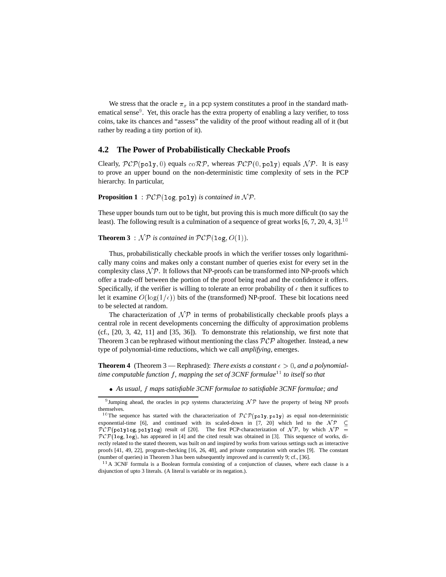We stress that the oracle  $\pi_x$  in a pcp system constitutes a proof in the standard mathematical sense<sup>9</sup>. Yet, this oracle has the extra property of enabling a lazy verifier, to toss coins, take its chances and "assess" the validity of the proof without reading all of it (but rather by reading a tiny portion of it).

#### **4.2 The Power of Probabilistically Checkable Proofs**

Clearly,  $PCP(poly, 0)$  equals  $coRP$ , whereas  $PCP(0, poly)$  equals  $NP$ . It is easy to prove an upper bound on the non-deterministic time complexity of sets in the PCP hierarchy. In particular,

**Proposition 1** :  $\mathcal{PCP}(\text{log}, \text{poly})$  *is contained in*  $\mathcal{NP}$ *.* 

These upper bounds turn out to be tight, but proving this is much more difficult (to say the least). The following result is a culmination of a sequence of great works  $[6, 7, 20, 4, 3]$ .<sup>10</sup>

**Theorem 3** :  $\mathcal{NP}$  *is contained in*  $\mathcal{PCP}(log, O(1))$ *.* 

Thus, probabilistically checkable proofs in which the verifier tosses only logarithmically many coins and makes only a constant number of queries exist for every set in the complexity class  $N \mathcal{P}$ . It follows that NP-proofs can be transformed into NP-proofs which offer a trade-off between the portion of the proof being read and the confidence it offers. Specifically, if the verifier is willing to tolerate an error probability of  $\epsilon$  then it suffices to let it examine  $O(\log(1/\epsilon))$  bits of the (transformed) NP-proof. These bit locations need to be selected at random.

The characterization of  $\mathcal{NP}$  in terms of probabilistically checkable proofs plays a central role in recent developments concerning the difficulty of approximation problems (cf., [20, 3, 42, 11] and [35, 36]). To demonstrate this relationship, we first note that Theorem 3 can be rephrased without mentioning the class  $PCP$  altogether. Instead, a new type of polynomial-time reductions, which we call *amplifying*, emerges.

**Theorem 4** (Theorem 3 — Rephrased): *There exists a constant*  $\epsilon > 0$ , and a polynomial*time computable function* f, mapping the set of 3CNF formulae<sup>11</sup> to itself so that

*As usual,* f *maps satisfiable 3CNF formulae to satisfiable 3CNF formulae; and*

<sup>&</sup>lt;sup>9</sup> Jumping ahead, the oracles in pcp systems characterizing  $\mathcal{NP}$  have the property of being NP proofs themselves.

<sup>&</sup>lt;sup>10</sup> The sequence has started with the characterization of  $PCP(poly, poly)$  as equal non-deterministic exponential-time [6], and continued with its scaled-down in [7, 20] which led to the  $\mathcal{NP} \subset$  $PCP(polylog polylog)$  result of [20]. The first PCP-characterization of  $N \overline{P}$ , by which  $N \overline{P}$  =  $PCP(\log, \log)$ , has appeared in [4] and the cited result was obtained in [3]. This sequence of works, directly related to the stated theorem, was built on and inspired by works from various settings such as interactive proofs [41, 49, 22], program-checking [16, 26, 48], and private computation with oracles [9]. The constant (number of queries) in Theorem 3 has been subsequently improved and is currently 9; cf., [36].

 $11$  A 3CNF formula is a Boolean formula consisting of a conjunction of clauses, where each clause is a disjunction of upto 3 literals. (A literal is variable or its negation.).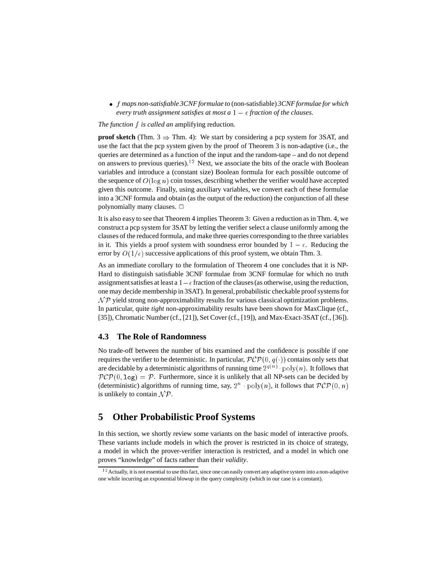f *maps non-satisfiable 3CNF formulae to* (non-satisfiable) *3CNF formulae for which every truth assignment satisfies at most a*  $1 - \epsilon$  *fraction of the clauses.* 

### *The function* f *is called an* amplifying reduction*.*

**proof sketch** (Thm. 3  $\Rightarrow$  Thm. 4): We start by considering a pcp system for 3SAT, and use the fact that the pcp system given by the proof of Theorem 3 is non-adaptive (i.e., the queries are determined as a function of the input and the random-tape – and do not depend on answers to previous queries).<sup>12</sup> Next, we associate the bits of the oracle with Boolean variables and introduce a (constant size) Boolean formula for each possible outcome of the sequence of  $O(\log n)$  coin tosses, describing whether the verifier would have accepted given this outcome. Finally, using auxiliary variables, we convert each of these formulae into a 3CNF formula and obtain (as the output of the reduction) the conjunction of all these polynomially many clauses.  $\Box$ 

It is also easy to see that Theorem 4 implies Theorem 3: Given a reduction as in Thm. 4, we construct a pcp system for 3SAT by letting the verifier select a clause uniformly among the clauses of the reduced formula, and make three queries corresponding to the three variables in it. This yields a proof system with soundness error bounded by  $1 - \epsilon$ . Reducing the error by  $O(1/\epsilon)$  successive applications of this proof system, we obtain Thm. 3.

As an immediate corollary to the formulation of Theorem 4 one concludes that it is NP-Hard to distinguish satisfiable 3CNF formulae from 3CNF formulae for which no truth assignment satisfies at least a  $1 - \epsilon$  fraction of the clauses (as otherwise, using the reduction, one may decide membership in 3SAT). In general,probabilistic checkable proof systems for  $\mathcal{NP}$  yield strong non-approximability results for various classical optimization problems. In particular, quite *tight* non-approximability results have been shown for MaxClique (cf., [35]), Chromatic Number (cf., [21]), Set Cover (cf., [19]), and Max-Exact-3SAT (cf., [36]).

### **4.3 The Role of Randomness**

No trade-off between the number of bits examined and the confidence is possible if one requires the verifier to be deterministic. In particular,  $\mathcal{PCP}(0, q(\cdot))$  contains only sets that are decidable by a deterministic algorithms of running time  $2^{q(n)} \cdot \text{poly}(n)$ . It follows that  $PCP(0, \log) = P$ . Furthermore, since it is unlikely that all NP-sets can be decided by (deterministic) algorithms of running time, say,  $2^n \cdot \text{poly}(n)$ , it follows that  $\mathcal{PCP}(0,n)$ is unlikely to contain  $\mathcal N \mathcal P$ .

# **5 Other Probabilistic Proof Systems**

In this section, we shortly review some variants on the basic model of interactive proofs. These variants include models in which the prover is restricted in its choice of strategy, a model in which the prover-verifier interaction is restricted, and a model in which one proves "knowledge" of facts rather than their *validity*.

 $12$  Actually, it is not essential to use this fact, since one can easily convert any adaptive system into a non-adaptive one while incurring an exponential blowup in the query complexity (which in our case is a constant).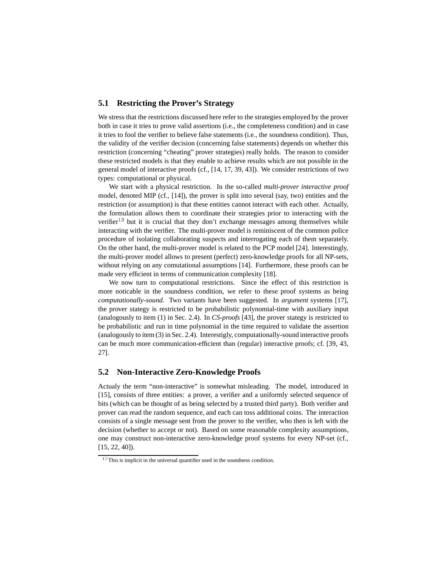# **5.1 Restricting the Prover's Strategy**

We stress that the restrictions discussed here refer to the strategies employed by the prover both in case it tries to prove valid assertions (i.e., the completeness condition) and in case it tries to fool the verifier to believe false statements (i.e., the soundness condition). Thus, the validity of the verifier decision (concerning false statements) depends on whether this restriction (concerning "cheating" prover strategies) really holds. The reason to consider these restricted models is that they enable to achieve results which are not possible in the general model of interactive proofs (cf., [14, 17, 39, 43]). We consider restrictions of two types: computational or physical.

We start with a physical restriction. In the so-called *multi-prover interactive proof* model, denoted MIP (cf., [14]), the prover is split into several (say, two) entities and the restriction (or assumption) is that these entities cannot interact with each other. Actually, the formulation allows them to coordinate their strategies prior to interacting with the verifier<sup>13</sup> but it is crucial that they don't exchange messages among themselves while interacting with the verifier. The multi-prover model is reminiscent of the common police procedure of isolating collaborating suspects and interrogating each of them separately. On the other hand, the multi-prover model is related to the PCP model [24]. Interestingly, the multi-prover model allows to present (perfect) zero-knowledge proofs for all NP-sets, without relying on any comutational assumptions [14]. Furthermore, these proofs can be made very efficient in terms of communication complexity [18].

We now turn to computational restrictions. Since the effect of this restriction is more noticable in the soundness condition, we refer to these proof systems as being *computationally-sound*. Two variants have been suggested. In *argument* systems [17], the prover stategy is restricted to be probabilistic polynomial-time with auxiliary input (analogously to item (1) in Sec. 2.4). In *CS-proofs* [43], the prover stategy is restricted to be probabilistic and run in time polynomial in the time required to validate the assertion (analogously to item (3) in Sec. 2.4). Interestigly, computationally-sound interactive proofs can be much more communication-efficient than (regular) interactive proofs; cf. [39, 43, 27].

### **5.2 Non-Interactive Zero-Knowledge Proofs**

Actualy the term "non-interactive" is somewhat misleading. The model, introduced in [15], consists of three entities: a prover, a verifier and a uniformly selected sequence of bits (which can be thought of as being selected by a trusted third party). Both verifier and prover can read the random sequence, and each can toss additional coins. The interaction consists of a single message sent from the prover to the verifier, who then is left with the decision (whether to accept or not). Based on some reasonable complexity assumptions, one may construct non-interactive zero-knowledge proof systems for every NP-set (cf., [15, 22, 40]).

 $13$  This is implicit in the universal quantifier used in the soundness condition.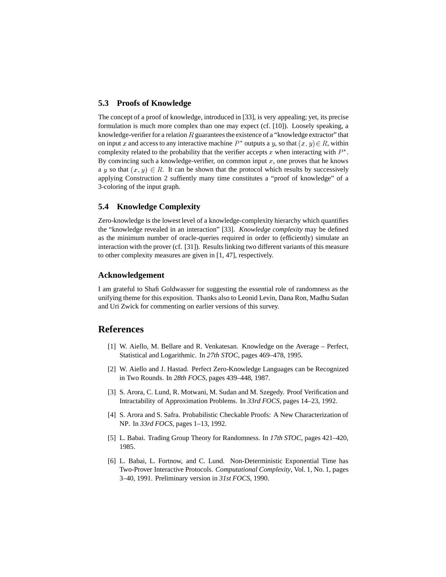# **5.3 Proofs of Knowledge**

The concept of a proof of knowledge, introduced in [33], is very appealing; yet, its precise formulation is much more complex than one may expect (cf. [10]). Loosely speaking, a knowledge-verifier for a relation  $R$  guarantees the existence of a "knowledge extractor" that on input x and access to any interactive machine  $P^*$  outputs a y, so that  $(x, y) \in R$ , within complexity related to the probability that the verifier accepts x when interacting with  $P^*$ . By convincing such a knowledge-verifier, on common input  $x$ , one proves that he knows a y so that  $(x, y) \in R$ . It can be shown that the protocol which results by successively applying Construction 2 suffiently many time constitutes a "proof of knowledge" of a 3-coloring of the input graph.

# **5.4 Knowledge Complexity**

Zero-knowledge is the lowest level of a knowledge-complexity hierarchy which quantifies the "knowledge revealed in an interaction" [33]. *Knowledge complexity* may be defined as the minimum number of oracle-queries required in order to (efficiently) simulate an interaction with the prover (cf. [31]). Results linking two different variants of this measure to other complexity measures are given in [1, 47], respectively.

### **Acknowledgement**

I am grateful to Shafi Goldwasser for suggesting the essential role of randomness as the unifying theme for this exposition. Thanks also to Leonid Levin, Dana Ron, Madhu Sudan and Uri Zwick for commenting on earlier versions of this survey.

# **References**

- [1] W. Aiello, M. Bellare and R. Venkatesan. Knowledge on the Average Perfect, Statistical and Logarithmic. In *27th STOC*, pages 469–478, 1995.
- [2] W. Aiello and J. Hastad. Perfect Zero-Knowledge Languages can be Recognized in Two Rounds. In *28th FOCS*, pages 439–448, 1987.
- [3] S. Arora, C. Lund, R. Motwani, M. Sudan and M. Szegedy. Proof Verification and Intractability of Approximation Problems. In *33rd FOCS*, pages 14–23, 1992.
- [4] S. Arora and S. Safra. Probabilistic Checkable Proofs: A New Characterization of NP. In *33rd FOCS*, pages 1–13, 1992.
- [5] L. Babai. Trading Group Theory for Randomness. In *17th STOC*, pages 421–420, 1985.
- [6] L. Babai, L. Fortnow, and C. Lund. Non-Deterministic Exponential Time has Two-Prover Interactive Protocols. *Computational Complexity*, Vol. 1, No. 1, pages 3–40, 1991. Preliminary version in *31st FOCS*, 1990.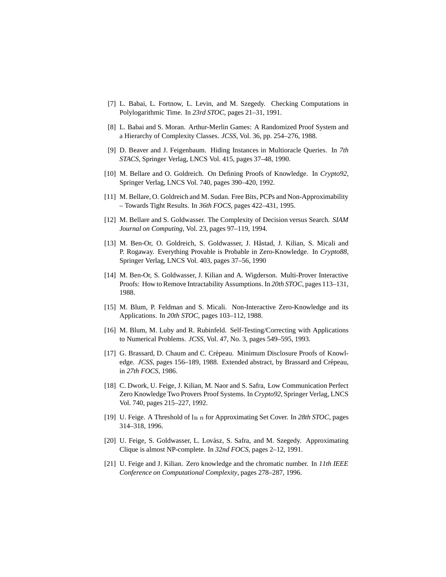- [7] L. Babai, L. Fortnow, L. Levin, and M. Szegedy. Checking Computations in Polylogarithmic Time. In *23rd STOC*, pages 21–31, 1991.
- [8] L. Babai and S. Moran. Arthur-Merlin Games: A Randomized Proof System and a Hierarchy of Complexity Classes. *JCSS*, Vol. 36, pp. 254–276, 1988.
- [9] D. Beaver and J. Feigenbaum. Hiding Instances in Multioracle Queries. In *7th STACS*, Springer Verlag, LNCS Vol. 415, pages 37–48, 1990.
- [10] M. Bellare and O. Goldreich. On Defining Proofs of Knowledge. In *Crypto92*, Springer Verlag, LNCS Vol. 740, pages 390–420, 1992.
- [11] M. Bellare, O. Goldreich and M. Sudan. Free Bits, PCPs and Non-Approximability – Towards Tight Results. In *36th FOCS*, pages 422–431, 1995.
- [12] M. Bellare and S. Goldwasser. The Complexity of Decision versus Search. *SIAM Journal on Computing*, Vol. 23, pages 97–119, 1994.
- [13] M. Ben-Or, O. Goldreich, S. Goldwasser, J. Håstad, J. Kilian, S. Micali and P. Rogaway. Everything Provable is Probable in Zero-Knowledge. In *Crypto88*, Springer Verlag, LNCS Vol. 403, pages 37–56, 1990
- [14] M. Ben-Or, S. Goldwasser, J. Kilian and A. Wigderson. Multi-Prover Interactive Proofs: How to Remove Intractability Assumptions. In *20th STOC*, pages 113–131, 1988.
- [15] M. Blum, P. Feldman and S. Micali. Non-Interactive Zero-Knowledge and its Applications. In *20th STOC*, pages 103–112, 1988.
- [16] M. Blum, M. Luby and R. Rubinfeld. Self-Testing/Correcting with Applications to Numerical Problems. *JCSS*, Vol. 47, No. 3, pages 549–595, 1993.
- [17] G. Brassard, D. Chaum and C. Crépeau. Minimum Disclosure Proofs of Knowledge. *JCSS*, pages 156-189, 1988. Extended abstract, by Brassard and Crépeau, in *27th FOCS*, 1986.
- [18] C. Dwork, U. Feige, J. Kilian, M. Naor and S. Safra, Low Communication Perfect Zero Knowledge Two Provers Proof Systems. In *Crypto92*, Springer Verlag, LNCS Vol. 740, pages 215–227, 1992.
- [19] U. Feige. A Threshold of ln <sup>n</sup> for Approximating Set Cover. In *28th STOC*, pages 314–318, 1996.
- [20] U. Feige, S. Goldwasser, L. Lovász, S. Safra, and M. Szegedy. Approximating Clique is almost NP-complete. In *32nd FOCS*, pages 2–12, 1991.
- [21] U. Feige and J. Kilian. Zero knowledge and the chromatic number. In *11th IEEE Conference on Computational Complexity*, pages 278–287, 1996.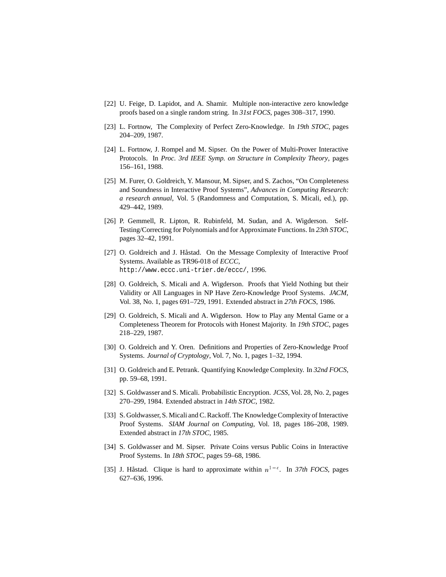- [22] U. Feige, D. Lapidot, and A. Shamir. Multiple non-interactive zero knowledge proofs based on a single random string. In *31st FOCS*, pages 308–317, 1990.
- [23] L. Fortnow, The Complexity of Perfect Zero-Knowledge. In *19th STOC*, pages 204–209, 1987.
- [24] L. Fortnow, J. Rompel and M. Sipser. On the Power of Multi-Prover Interactive Protocols. In *Proc. 3rd IEEE Symp. on Structure in Complexity Theory*, pages 156–161, 1988.
- [25] M. Furer, O. Goldreich, Y. Mansour, M. Sipser, and S. Zachos, "On Completeness and Soundness in Interactive Proof Systems", *Advances in Computing Research: a research annual*, Vol. 5 (Randomness and Computation, S. Micali, ed.), pp. 429–442, 1989.
- [26] P. Gemmell, R. Lipton, R. Rubinfeld, M. Sudan, and A. Wigderson. Self-Testing/Correcting for Polynomials and for Approximate Functions. In *23th STOC*, pages 32–42, 1991.
- [27] O. Goldreich and J. Håstad. On the Message Complexity of Interactive Proof Systems. Available as TR96-018 of *ECCC*, http://www.eccc.uni-trier.de/eccc/, 1996.
- [28] O. Goldreich, S. Micali and A. Wigderson. Proofs that Yield Nothing but their Validity or All Languages in NP Have Zero-Knowledge Proof Systems. *JACM*, Vol. 38, No. 1, pages 691–729, 1991. Extended abstract in *27th FOCS*, 1986.
- [29] O. Goldreich, S. Micali and A. Wigderson. How to Play any Mental Game or a Completeness Theorem for Protocols with Honest Majority. In *19th STOC*, pages 218–229, 1987.
- [30] O. Goldreich and Y. Oren. Definitions and Properties of Zero-Knowledge Proof Systems. *Journal of Cryptology*, Vol. 7, No. 1, pages 1–32, 1994.
- [31] O. Goldreich and E. Petrank. Quantifying Knowledge Complexity. In *32nd FOCS*, pp. 59–68, 1991.
- [32] S. Goldwasser and S. Micali. Probabilistic Encryption. *JCSS*, Vol. 28, No. 2, pages 270–299, 1984. Extended abstract in *14th STOC*, 1982.
- [33] S. Goldwasser, S. Micali and C. Rackoff. The Knowledge Complexity of Interactive Proof Systems. *SIAM Journal on Computing*, Vol. 18, pages 186–208, 1989. Extended abstract in *17th STOC*, 1985.
- [34] S. Goldwasser and M. Sipser. Private Coins versus Public Coins in Interactive Proof Systems. In *18th STOC*, pages 59–68, 1986.
- [35] J. Håstad. Clique is hard to approximate within  $n^{1-\epsilon}$ . In 37th FOCS, pages 627–636, 1996.